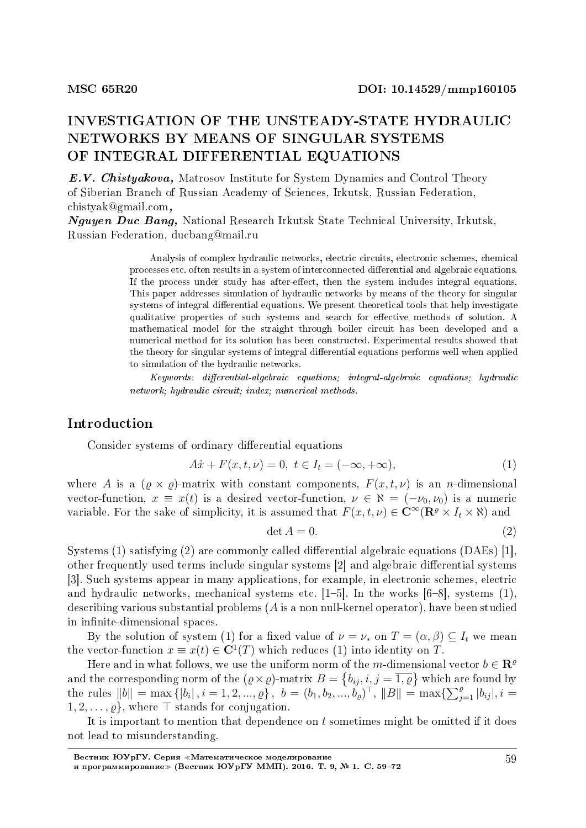# INVESTIGATION OF THE UNSTEADY-STATE HYDRAULIC NETWORKS BY MEANS OF SINGULAR SYSTEMS OF INTEGRAL DIFFERENTIAL EQUATIONS

E.V. Chistyakova, Matrosov Institute for System Dynamics and Control Theory of Siberian Branch of Russian Academy of Sciences, Irkutsk, Russian Federation, chistyak@gmail.com,

Nguyen Duc Bang, National Research Irkutsk State Technical University, Irkutsk, Russian Federation, ducbang@mail.ru

> Analysis of complex hydraulic networks, electric circuits, electronic schemes, chemical processes etc. often results in a system of interconnected differential and algebraic equations. If the process under study has after-effect, then the system includes integral equations. This paper addresses simulation of hydraulic networks by means of the theory for singular systems of integral differential equations. We present theoretical tools that help investigate qualitative properties of such systems and search for effective methods of solution. A mathematical model for the straight through boiler circuit has been developed and a numerical method for its solution has been constructed. Experimental results showed that the theory for singular systems of integral differential equations performs well when applied to simulation of the hydraulic networks.

> $Keywords:$  differential-algebraic equations; integral-algebraic equations; hydraulic network; hydraulic circuit; index; numerical methods.

## Introduction

Consider systems of ordinary differential equations

$$
A\dot{x} + F(x, t, \nu) = 0, \ t \in I_t = (-\infty, +\infty), \tag{1}
$$

where *A* is a  $(\rho \times \rho)$ -matrix with constant components,  $F(x, t, \nu)$  is an *n*-dimensional vector-function,  $x \equiv x(t)$  is a desired vector-function,  $\nu \in \aleph = (-\nu_0, \nu_0)$  is a numeric variable. For the sake of simplicity, it is assumed that  $F(x, t, \nu) \in \mathbb{C}^\infty(\mathbb{R}^e \times I_t \times \mathbb{R})$  and

$$
\det A = 0. \tag{2}
$$

Systems (1) satisfying (2) are commonly called differential algebraic equations (DAEs) [1]. other frequently used terms include singular systems [2] and algebraic differential systems [3]. Such systems appear in many applications, for example, in electronic schemes, electric and hydraulic networks, mechanical systems etc.  $[1–5]$ . In the works  $[6–8]$ , systems  $(1)$ , describing various substantial problems (*A* is a non null-kernel operator), have been studied in infinite-dimensional spaces.

By the solution of system (1) for a fixed value of  $\nu = \nu_*$  on  $T = (\alpha, \beta) \subseteq I_t$  we mean the vector-function  $x \equiv x(t) \in \mathbb{C}^1(T)$  which reduces (1) into identity on *T*.

Here and in what follows, we use the uniform norm of the *m*-dimensional vector  $b \in \mathbb{R}^{\varrho}$ and the corresponding norm of the  $(\varrho \times \varrho)$ -matrix  $B = \{b_{ij}, i, j = \overline{1, \varrho}\}\,$  which are found by the rules  $||b|| = \max\{|b_i|, i = 1, 2, ..., \varrho\}, b = (b_1, b_2, ..., b_\varrho)^\top, ||B|| = \max\{\sum_{j=1}^\varrho |b_{ij}|, i = 1, 2, ..., \varrho\}$ 1*,* 2*, . . . , ϱ},* where *⊤* stands for conjugation.

It is important to mention that dependence on *t* sometimes might be omitted if it does not lead to misunderstanding.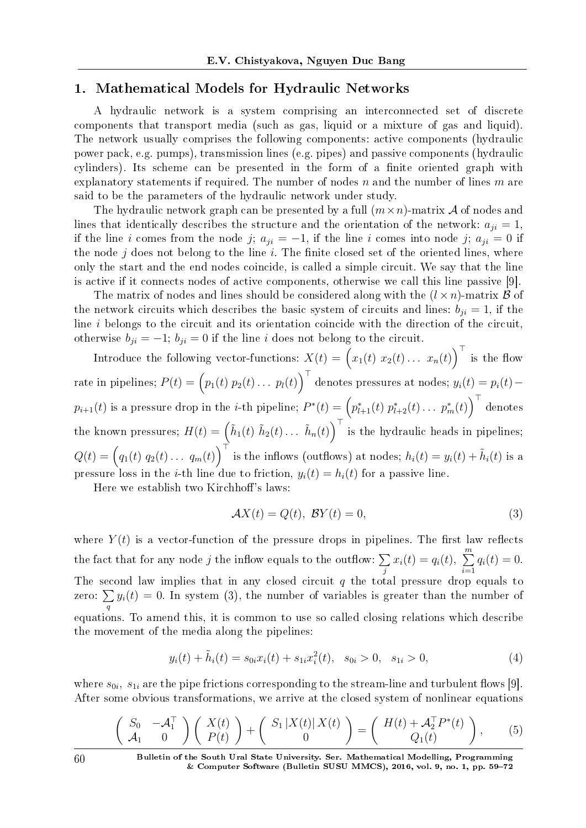# 1. Mathematical Models for Hydraulic Networks

A hydraulic network is a system comprising an interconnected set of discrete components that transport media (such as gas, liquid or a mixture of gas and liquid). The network usually comprises the following components: active components (hydraulic power pack, e.g. pumps), transmission lines (e.g. pipes) and passive components (hydraulic cylinders). Its scheme can be presented in the form of a finite oriented graph with explanatory statements if required. The number of nodes *n* and the number of lines *m* are said to be the parameters of the hydraulic network under study.

The hydraulic network graph can be presented by a full  $(m \times n)$ -matrix A of nodes and lines that identically describes the structure and the orientation of the network:  $a_{ji} = 1$ , if the line *i* comes from the node *j*;  $a_{ji} = -1$ , if the line *i* comes into node *j*;  $a_{ji} = 0$  if the node  $j$  does not belong to the line  $i$ . The finite closed set of the oriented lines, where only the start and the end nodes coincide, is called a simple circuit. We say that the line is active if it connects nodes of active components, otherwise we call this line passive [9].

The matrix of nodes and lines should be considered along with the  $(l \times n)$ -matrix  $\beta$  of the network circuits which describes the basic system of circuits and lines:  $b_{ii} = 1$ , if the line *i* belongs to the circuit and its orientation coincide with the direction of the circuit, otherwise  $b_{ji} = -1$ ;  $b_{ji} = 0$  if the line *i* does not belong to the circuit.

Introduce the following vector-functions:  $X(t) = (x_1(t) x_2(t) \dots x_n(t))^\top$  is the flow  $\text{rate in pipelines; } P(t) = \left(p_1(t) \ p_2(t) \ldots \ p_l(t)\right)^\top \text{ denotes pressures at nodes; } y_i(t) = p_i(t) - \frac{1}{2} \left(p_1(t) \ p_2(t) \ldots \ p_l(t)\right)^\top \text{ denotes pressures at nodes.}$  $p_{i+1}(t)$  is a pressure drop in the *i*-th pipeline;  $P^*(t) = \left(p^*_{l+1}(t) \ p^*_{l+2}(t) \ldots \ p^*_m(t)\right)^\top$  denotes the known pressures;  $H(t) = \left(\tilde{h}_1(t) \; \tilde{h}_2(t) \ldots \; \tilde{h}_n(t)\right)^\top$  is the hydraulic heads in pipelines;  $Q(t) = (q_1(t) \ q_2(t) \ldots \ q_m(t))^\top$  is the inflows (outflows) at nodes;  $h_i(t) = y_i(t) + \tilde{h}_i(t)$  is a pressure loss in the *i*-th line due to friction,  $y_i(t) = h_i(t)$  for a passive line.

Here we establish two Kirchhoff's laws:

$$
\mathcal{A}X(t) = Q(t), \ \mathcal{B}Y(t) = 0,\tag{3}
$$

where  $Y(t)$  is a vector-function of the pressure drops in pipelines. The first law reflects the fact that for any node *j* the inflow equals to the outflow:  $\sum$ *j*  $x_i(t) = q_i(t), \sum_{i=1}^{m}$ *i*=1  $q_i(t) = 0.$ The second law implies that in any closed circuit *q* the total pressure drop equals to zero: ∑ *q*  $y_i(t) = 0$ . In system (3), the number of variables is greater than the number of equations. To amend this, it is common to use so called closing relations which describe the movement of the media along the pipelines:

$$
y_i(t) + \tilde{h}_i(t) = s_{0i} x_i(t) + s_{1i} x_i^2(t), \quad s_{0i} > 0, \quad s_{1i} > 0,
$$
\n
$$
(4)
$$

where  $s_{0i}$ ,  $s_{1i}$  are the pipe frictions corresponding to the stream-line and turbulent flows [9]. After some obvious transformations, we arrive at the closed system of nonlinear equations

$$
\left(\begin{array}{cc} S_0 & -\mathcal{A}_1^{\top} \\ \mathcal{A}_1 & 0 \end{array}\right) \left(\begin{array}{c} X(t) \\ P(t) \end{array}\right) + \left(\begin{array}{c} S_1 \left| X(t) \right| X(t) \\ 0 \end{array}\right) = \left(\begin{array}{c} H(t) + \mathcal{A}_2^{\top} P^*(t) \\ Q_1(t) \end{array}\right),\tag{5}
$$

60 Bulletin of the South Ural State University. Ser. Mathematical Modelling, Programming  $&$  Computer Software (Bulletin SUSU MMCS), 2016, vol. 9, no. 1, pp. 59–72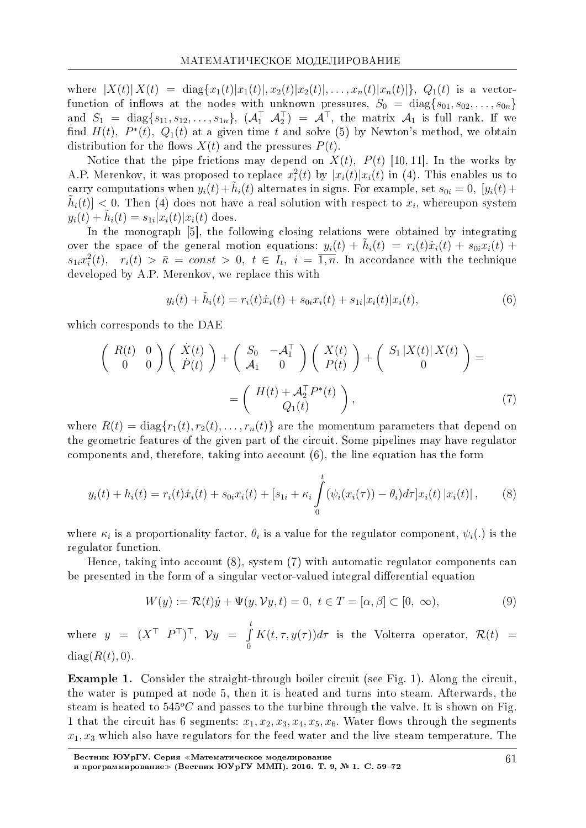where  $|X(t)| X(t) = \text{diag}\{x_1(t)|x_1(t)|, x_2(t)|x_2(t)|, \ldots, x_n(t)|x_n(t)|\}, Q_1(t)$  is a vectorfunction of inflows at the nodes with unknown pressures,  $S_0 = \text{diag}\{s_{01}, s_{02}, \ldots, s_{0n}\}\$ and  $S_1 = \text{diag}\{s_{11}, s_{12}, \ldots, s_{1n}\}, \; (\mathcal{A}_1^\top \quad \mathcal{A}_2^\top) = \mathcal{A}^\top$ , the matrix  $\mathcal{A}_1$  is full rank. If we find  $H(t)$ ,  $P^*(t)$ ,  $Q_1(t)$  at a given time t and solve (5) by Newton's method, we obtain distribution for the flows  $X(t)$  and the pressures  $P(t)$ .

Notice that the pipe frictions may depend on  $X(t)$ ,  $P(t)$  [10, 11]. In the works by A.P. Merenkov, it was proposed to replace  $x_i^2(t)$  by  $|x_i(t)|x_i(t)$  in (4). This enables us to carry computations when  $y_i(t) + \tilde{h}_i(t)$  alternates in signs. For example, set  $s_{0i} = 0$ ,  $[y_i(t) +$  $\tilde{h}_i(t)$  < 0. Then (4) does not have a real solution with respect to  $x_i$ , whereupon system  $y_i(t) + h_i(t) = s_{1i}|x_i(t)|x_i(t)$  does.

In the monograph [5], the following closing relations were obtained by integrating over the space of the general motion equations:  $y_i(t) + \tilde{h}_i(t) = r_i(t)\dot{x}_i(t) + s_{0i}x_i(t) +$  $s_{1i}x_i^2(t)$ ,  $r_i(t) > \bar{\kappa} = const > 0$ ,  $t \in I_t$ ,  $i = \overline{1,n}$ . In accordance with the technique developed by A.P. Merenkov, we replace this with

$$
y_i(t) + \tilde{h}_i(t) = r_i(t)\dot{x}_i(t) + s_{0i}x_i(t) + s_{1i}|x_i(t)|x_i(t),
$$
\n(6)

which corresponds to the DAE

$$
\begin{pmatrix}\nR(t) & 0 \\
0 & 0\n\end{pmatrix}\n\begin{pmatrix}\n\dot{X}(t) \\
\dot{P}(t)\n\end{pmatrix} +\n\begin{pmatrix}\nS_0 & -\mathcal{A}_1^\top \\
\mathcal{A}_1 & 0\n\end{pmatrix}\n\begin{pmatrix}\nX(t) \\
P(t)\n\end{pmatrix} +\n\begin{pmatrix}\nS_1 | X(t) | X(t) \\
0\n\end{pmatrix} =\n\begin{pmatrix}\nH(t) + \mathcal{A}_2^\top P^*(t) \\
Q_1(t)\n\end{pmatrix},
$$
\n(7)

where  $R(t) = \text{diag}\{r_1(t), r_2(t), \dots, r_n(t)\}\$  are the momentum parameters that depend on the geometric features of the given part of the circuit. Some pipelines may have regulator components and, therefore, taking into account  $(6)$ , the line equation has the form

$$
y_i(t) + h_i(t) = r_i(t)\dot{x}_i(t) + s_{0i}x_i(t) + [s_{1i} + \kappa_i \int_0^t (\psi_i(x_i(\tau)) - \theta_i)d\tau]x_i(t) |x_i(t)|, \qquad (8)
$$

where  $\kappa_i$  is a proportionality factor,  $\theta_i$  is a value for the regulator component,  $\psi_i(.)$  is the regulator function.

Hence, taking into account  $(8)$ , system  $(7)$  with automatic regulator components can be presented in the form of a singular vector-valued integral differential equation

$$
W(y) := \mathcal{R}(t)\dot{y} + \Psi(y, \mathcal{V}y, t) = 0, \ t \in T = [\alpha, \beta] \subset [0, \infty), \tag{9}
$$

where  $y = (X^{\top} P^{\top})^{\top}$ ,  $\mathcal{V}y = \int_{0}^{t} K(t, \tau, y(\tau)) d\tau$  is the Volterra operator,  $\mathcal{R}(t) =$  $diag(R(t), 0)$ .

**Example 1.** Consider the straight-through boiler circuit (see Fig. 1). Along the circuit. the water is pumped at node 5, then it is heated and turns into steam. Afterwards, the steam is heated to  $545^{\circ}C$  and passes to the turbine through the valve. It is shown on Fig. 1 that the circuit has 6 segments:  $x_1, x_2, x_3, x_4, x_5, x_6$ . Water flows through the segments  $x_1, x_3$  which also have regulators for the feed water and the live steam temperature. The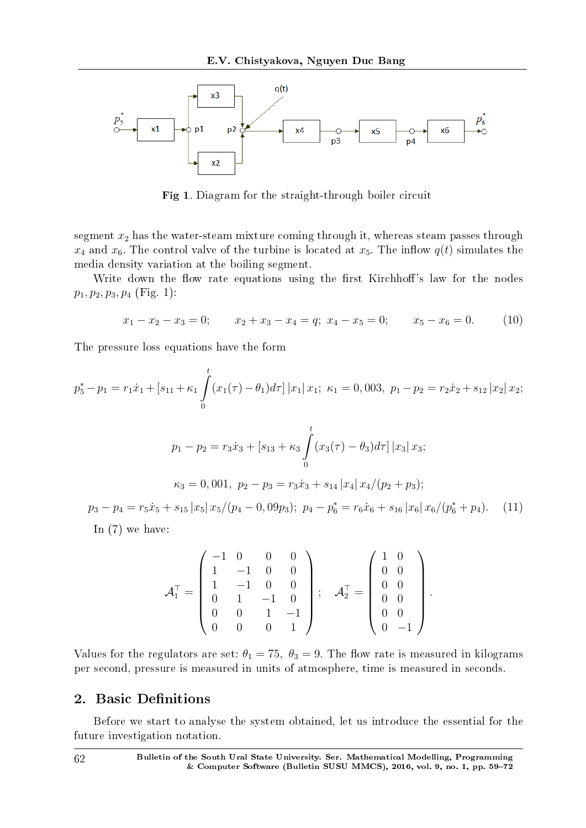

Fig 1. Diagram for the straight-through boiler circuit

segment *x*<sup>2</sup> has the water-steam mixture coming through it, whereas steam passes through  $x_4$  and  $x_6$ . The control valve of the turbine is located at  $x_5$ . The inflow  $q(t)$  simulates the media density variation at the boiling segment.

Write down the flow rate equations using the first Kirchhoff's law for the nodes  $p_1, p_2, p_3, p_4$  (Fig. 1):

$$
x_1 - x_2 - x_3 = 0;
$$
  $x_2 + x_3 - x_4 = q;$   $x_4 - x_5 = 0;$   $x_5 - x_6 = 0.$  (10)

The pressure loss equations have the form

$$
p_5^* - p_1 = r_1 \dot{x}_1 + [s_{11} + \kappa_1 \int_0^t (x_1(\tau) - \theta_1) d\tau] |x_1| |x_1; \ \kappa_1 = 0, 003, \ p_1 - p_2 = r_2 \dot{x}_2 + s_{12} |x_2| |x_2;
$$
  

$$
p_1 - p_2 = r_3 \dot{x}_3 + [s_{13} + \kappa_3 \int_0^t (x_3(\tau) - \theta_3) d\tau] |x_3| |x_3;
$$
  

$$
\kappa_3 = 0, 001, \ p_2 - p_3 = r_3 \dot{x}_3 + s_{14} |x_4| |x_4| / (p_2 + p_3);
$$
  

$$
p_3 - p_4 = r_5 \dot{x}_5 + s_{15} |x_5| |x_5| / (p_4 - 0, 09p_3); \ p_4 - p_6^* = r_6 \dot{x}_6 + s_{16} |x_6| |x_6| / (p_6^* + p_4).
$$
 (11)

 $p_3 - p_4 = r_5\dot{x}_5 + s_{15} |x_5| x_5/(p_4 - 0, 09p_3); p_4 - p$  $x_6^* = r_6\dot{x}_6 + s_{16} |x_6| x_6$  $b_6^* + p_4$ ). (11) In (7) we have:

$$
\mathcal{A}_1^{\top} = \left( \begin{array}{cccc} -1 & 0 & 0 & 0 \\ 1 & -1 & 0 & 0 \\ 1 & -1 & 0 & 0 \\ 0 & 1 & -1 & 0 \\ 0 & 0 & 1 & -1 \\ 0 & 0 & 0 & 1 \end{array} \right); \quad \mathcal{A}_2^{\top} = \left( \begin{array}{cccc} 1 & 0 \\ 0 & 0 \\ 0 & 0 \\ 0 & 0 \\ 0 & 0 \\ 0 & -1 \end{array} \right).
$$

Values for the regulators are set:  $\theta_1 = 75$ ,  $\theta_3 = 9$ . The flow rate is measured in kilograms per second, pressure is measured in units of atmosphere, time is measured in seconds.

## 2. Basic Definitions

Before we start to analyse the system obtained, let us introduce the essential for the future investigation notation.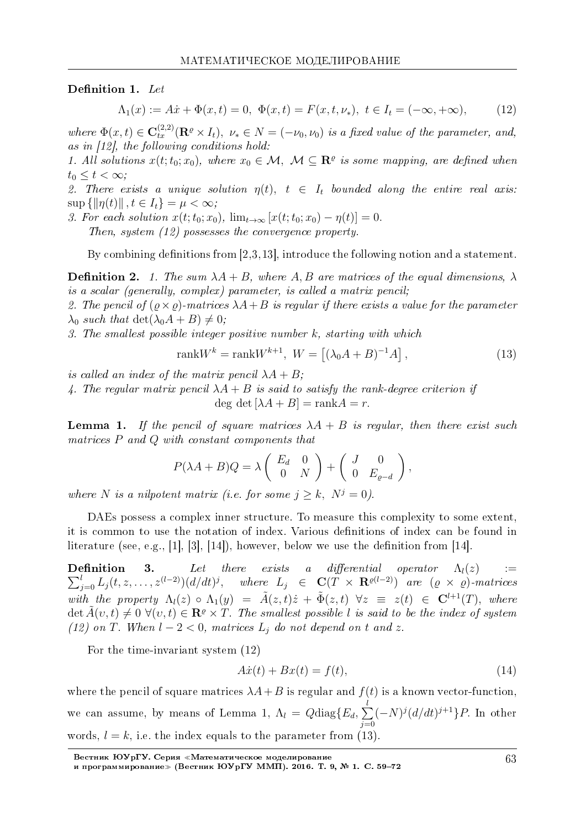#### Definition 1. Let

$$
\Lambda_1(x) := A\dot{x} + \Phi(x, t) = 0, \ \Phi(x, t) = F(x, t, \nu_*) , \ t \in I_t = (-\infty, +\infty), \tag{12}
$$

where  $\Phi(x,t) \in \mathbf{C}_{tx}^{(2,2)}(\mathbf{R}^{\varrho} \times I_t)$ ,  $\nu_* \in N = (-\nu_0, \nu_0)$  is a fixed value of the parameter, and, as in [12], the following conditions hold:

1. All solutions  $x(t; t_0; x_0)$ , where  $x_0 \in \mathcal{M}$ ,  $\mathcal{M} \subseteq \mathbb{R}^{\varrho}$  is some mapping, are defined when  $t_0 \leq t < \infty$ ;

2. There exists a unique solution  $\eta(t)$ ,  $t \in I_t$  bounded along the entire real axis:  $\sup \{\|\eta(t)\|, t \in I_t\} = \mu < \infty;$ 

3. For each solution  $x(t; t_0; x_0)$ ,  $\lim_{t \to \infty} [x(t; t_0; x_0) - \eta(t)] = 0$ .

Then, system (12) possesses the convergence property.

By combining definitions from  $[2,3,13]$ , introduce the following notion and a statement.

**Definition 2.** 1. The sum  $\lambda A + B$ , where A, B are matrices of the equal dimensions,  $\lambda$ is a scalar (generally, complex) parameter, is called a matrix pencil;

2. The pencil of  $(\varrho \times \varrho)$ -matrices  $\lambda A + B$  is regular if there exists a value for the parameter  $\lambda_0$  such that  $\det(\lambda_0 A + B) \neq 0$ ;

3. The smallest possible integer positive number *k*, starting with which

$$
rank W^k = rank W^{k+1}, \ W = \left[ (\lambda_0 A + B)^{-1} A \right], \tag{13}
$$

is called an index of the matrix pencil  $\lambda A + B$ ;

4. The regular matrix pencil  $\lambda A + B$  is said to satisfy the rank-degree criterion if  $\deg \det [\lambda A + B] = \operatorname{rank} A = r.$ 

**Lemma 1.** If the pencil of square matrices  $\lambda A + B$  is regular, then there exist such matrices *P* and *Q* with constant components that

$$
P(\lambda A + B)Q = \lambda \begin{pmatrix} E_d & 0 \\ 0 & N \end{pmatrix} + \begin{pmatrix} J & 0 \\ 0 & E_{\varrho-d} \end{pmatrix},
$$

where *N* is a nilpotent matrix (i.e. for some  $j \geq k$ ,  $N^j = 0$ ).

DAEs possess a complex inner structure. To measure this complexity to some extent, it is common to use the notation of index. Various definitions of index can be found in literature (see, e.g., [1], [3], [14]), however, below we use the definition from [14].

∑ **Definition 3.** Let there exists a differential operator  $\Lambda_l(z) := \sum_{j=0}^l L_j(t, z, \ldots, z^{(l-2)})(d/dt)^j$ , where  $L_j \in \mathbf{C}(T \times \mathbf{R}^{\varrho(l-2)})$  are  $(\varrho \times \varrho)$ -matrices with the property  $\Lambda_l(z) \circ \Lambda_1(y) = \tilde{A}(z,t)\dot{z} + \tilde{\Phi}(z,t) \quad \forall z \equiv z(t) \in \mathbf{C}^{l+1}(T)$ , where  $\det \tilde{A}(v,t) \neq 0 \ \forall (v,t) \in \mathbb{R}^{\varrho} \times T$ . The smallest possible *l* is said to be the index of system (12) on *T*. When  $l - 2 < 0$ , matrices  $L_j$  do not depend on t and *z*.

For the time-invariant system (12)

$$
A\dot{x}(t) + Bx(t) = f(t),\tag{14}
$$

where the pencil of square matrices  $\lambda A + B$  is regular and  $f(t)$  is a known vector-function, we can assume, by means of Lemma 1,  $\Lambda_l = Q \text{diag}\{E_d, \sum_k \}$ *l j*=0 (*−N*) *j* (*d/dt*) *<sup>j</sup>*+1*}P.* In other words,  $l = k$ , i.e. the index equals to the parameter from  $(13)$ .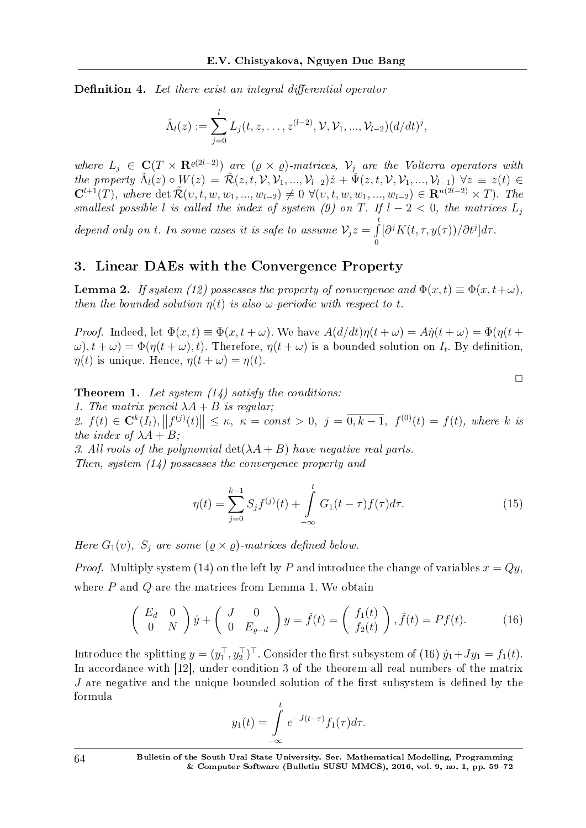**Definition 4.** Let there exist an integral differential operator

$$
\tilde{\Lambda}_l(z) := \sum_{j=0}^l L_j(t, z, \dots, z^{(l-2)}, \mathcal{V}, \mathcal{V}_1, \dots, \mathcal{V}_{l-2}) (d/dt)^j,
$$

where  $L_j \in \mathbf{C}(T \times \mathbf{R}^{e(2l-2)})$  are  $(\varrho \times \varrho)$ -matrices,  $\mathcal{V}_j$  are the Volterra operators with the property  $\tilde{\Lambda}_l(z) \circ W(z) = \tilde{\mathcal{R}}(z,t,\mathcal{V},\mathcal{V}_1,...,\mathcal{V}_{l-2})\dot{z} + \tilde{\Psi}(z,t,\mathcal{V},\mathcal{V}_1,...,\mathcal{V}_{l-1}) \ \forall z \equiv z(t) \in$  $\mathbf{C}^{l+1}(T)$ , where  $\det \tilde{\mathcal{R}}(v, t, w, w_1, ..., w_{l-2}) \neq 0 \ \forall (v, t, w, w_1, ..., w_{l-2}) \in \mathbf{R}^{n(2l-2)} \times T)$ . The smallest possible *l* is called the index of system (9) on *T*. If  $l-2 < 0$ , the matrices  $L_j$ *t*

depend only on *t*. In some cases it is safe to assume  $\mathcal{V}_j z = \int$ 0 [*∂ <sup>j</sup>K*(*t, τ, y*(*τ* ))*/∂t<sup>j</sup>* ]*dτ* .

## 3. Linear DAEs with the Convergence Property

**Lemma 2.** If system (12) possesses the property of convergence and  $\Phi(x,t) \equiv \Phi(x,t+\omega)$ , then the bounded solution  $\eta(t)$  is also  $\omega$ -periodic with respect to *t*.

Proof. Indeed, let  $\Phi(x,t) \equiv \Phi(x,t+\omega)$ . We have  $A(d/dt)\eta(t+\omega) = A\dot{\eta}(t+\omega) = \Phi(\eta(t+\omega))$  $\omega$ ),  $t + \omega$ ) =  $\Phi(\eta(t + \omega), t)$ . Therefore,  $\eta(t + \omega)$  is a bounded solution on  $I_t$ . By definition, *η*(*t*) is unique. Hence,  $η(t + ω) = η(t)$ .

**Theorem 1.** Let system  $(14)$  satisfy the conditions:

1. The matrix pencil  $\lambda A + B$  is regular;

2.  $f(t) \in \mathbf{C}^k(I_t), ||f^{(j)}(t)|| \leq \kappa, \ \kappa = const > 0, \ j = \overline{0, k-1}, \ f^{(0)}(t) = f(t), \text{ where } k \text{ is }$ the index of  $\lambda A + B$ ;

3. All roots of the polynomial  $\det(\lambda A + B)$  have negative real parts. Then, system (14) possesses the convergence property and

$$
\eta(t) = \sum_{j=0}^{k-1} S_j f^{(j)}(t) + \int_{-\infty}^{t} G_1(t-\tau) f(\tau) d\tau.
$$
 (15)

 $\Box$ 

Here  $G_1(v)$ ,  $S_j$  are some  $(\varrho \times \varrho)$ -matrices defined below.

*Proof.* Multiply system (14) on the left by *P* and introduce the change of variables  $x = Qy$ , where *P* and *Q* are the matrices from Lemma 1. We obtain

$$
\begin{pmatrix} E_d & 0\\ 0 & N \end{pmatrix} \dot{y} + \begin{pmatrix} J & 0\\ 0 & E_{\varrho-d} \end{pmatrix} y = \tilde{f}(t) = \begin{pmatrix} f_1(t)\\ f_2(t) \end{pmatrix}, \tilde{f}(t) = Pf(t). \tag{16}
$$

Introduce the splitting  $y = (y_1^\top, y_2^\top)^\top$ . Consider the first subsystem of (16)  $\dot{y}_1 + Jy_1 = f_1(t)$ . In accordance with [12], under condition 3 of the theorem all real numbers of the matrix *J* are negative and the unique bounded solution of the first subsystem is defined by the formula

$$
y_1(t) = \int_{-\infty}^t e^{-J(t-\tau)} f_1(\tau) d\tau.
$$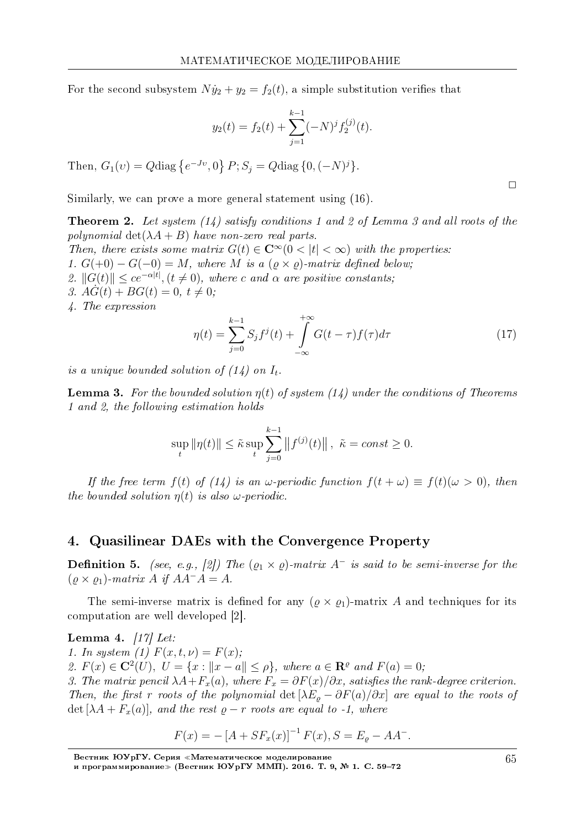For the second subsystem  $N\dot{y}_2 + y_2 = f_2(t)$ , a simple substitution verifies that

$$
y_2(t) = f_2(t) + \sum_{j=1}^{k-1} (-N)^j f_2^{(j)}(t).
$$

Then,  $G_1(v) = Q \text{diag} \{e^{-Jv}, 0\} P; S_i = Q \text{diag} \{0, (-N)^j\}.$ 

Similarly, we can prove a more general statement using (16).

**Theorem 2.** Let system  $(14)$  satisfy conditions 1 and 2 of Lemma 3 and all roots of the polynomial  $\det(\lambda A + B)$  have non-zero real parts. Then, there exists some matrix  $G(t) \in \mathbb{C}^{\infty}(0 < |t| < \infty)$  with the properties: 1.  $G(+0) - G(-0) = M$ , where M is a  $(\varrho \times \varrho)$ -matrix defined below; 2.  $||G(t)|| \le ce^{-\alpha|t|}, (t \ne 0)$ , where c and  $\alpha$  are positive constants, 3.  $AG(t) + BG(t) = 0, t \neq 0$ ; 4. The expression

$$
\eta(t) = \sum_{j=0}^{k-1} S_j f^j(t) + \int_{-\infty}^{+\infty} G(t - \tau) f(\tau) d\tau
$$
\n(17)

is a unique bounded solution of  $(14)$  on  $I_t$ .

**Lemma 3.** For the bounded solution  $\eta(t)$  of system (14) under the conditions of Theorems 1 and 2, the following estimation holds

$$
\sup_{t} \|\eta(t)\| \le \tilde{\kappa} \sup_{t} \sum_{j=0}^{k-1} \|f^{(j)}(t)\|, \ \tilde{\kappa} = const \ge 0.
$$

If the free term  $f(t)$  of (14) is an  $\omega$ -periodic function  $f(t + \omega) \equiv f(t)(\omega > 0)$ , then the bounded solution  $\eta(t)$  is also  $\omega$ -periodic.

#### 4. Quasilinear DAEs with the Convergence Property

**Definition 5.** (see, e.g., [2]) The  $(\rho_1 \times \rho)$ -matrix A<sup>-</sup> is said to be semi-inverse for the  $(\varrho \times \varrho_1)$ -matrix A if  $AA^{-}A = A$ .

The semi-inverse matrix is defined for any  $(\varrho \times \varrho_1)$ -matrix A and techniques for its computation are well developed [2].

Lemma 4.  $|17|$  Let:

1. In system (1)  $F(x,t,\nu) = F(x)$ ;

2.  $F(x) \in \mathbb{C}^2(U)$ ,  $U = \{x : ||x - a|| \le \rho\}$ , where  $a \in \mathbb{R}^{\varrho}$  and  $F(a) = 0$ ;

3. The matrix pencil  $\lambda A + F_x(a)$ , where  $F_x = \partial F(x)/\partial x$ , satisfies the rank-degree criterion. Then, the first r roots of the polynomial det  $[\lambda E_{\rho} - \partial F(a)/\partial x]$  are equal to the roots of det  $[\lambda A + F_x(a)]$ , and the rest  $\rho - r$  roots are equal to -1, where

$$
F(x) = -[A + SF_x(x)]^{-1} F(x), S = E_{\varrho} - AA^{-}.
$$

65

 $\Box$ 

Вестник ЮУрГУ. Серия «Математическое моделирование<br>и программирование» (Вестник ЮУрГУ ММП). 2016. Т. 9, № 1. С. 59–72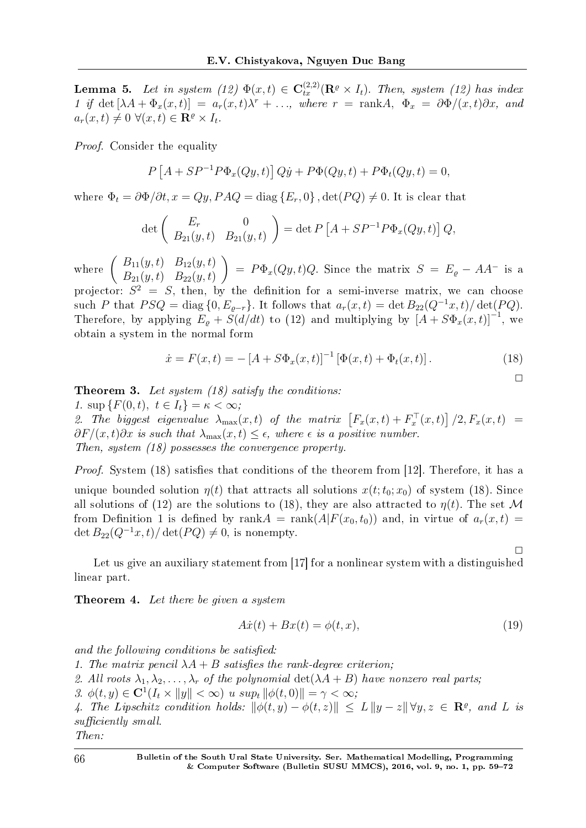**Lemma 5.** Let in system (12)  $\Phi(x,t) \in \mathbf{C}_{tx}^{(2,2)}(\mathbf{R}^{\varrho} \times I_t)$ . Then, system (12) has index 1 if det  $[\lambda A + \Phi_x(x, t)] = a_r(x, t)\lambda^r + \ldots$ , where  $r = \text{rank}A, \Phi_x = \partial \Phi/(x, t)\partial x$ , and  $a_r(x,t) \neq 0 \ \forall (x,t) \in \mathbf{R}^{\varrho} \times I_t.$ 

Proof. Consider the equality

$$
P\left[A + SP^{-1}P\Phi_x(Qy, t)\right]Q\dot{y} + P\Phi(Qy, t) + P\Phi_t(Qy, t) = 0,
$$

where  $\Phi_t = \partial \Phi / \partial t$ ,  $x = Qy$ ,  $PAQ = \text{diag} \{E_r, 0\}$ ,  $\det(PQ) \neq 0$ . It is clear that

$$
\det\left(\begin{array}{cc} E_r & 0\\ B_{21}(y,t) & B_{21}(y,t) \end{array}\right) = \det P\left[A + SP^{-1}P\Phi_x(Qy,t)\right]Q,
$$

where  $\begin{pmatrix} B_{11}(y, t) & B_{12}(y, t) \\ B_{12}(y, t) & B_{22}(y, t) \end{pmatrix}$  $B_{21}(y,t)$   $B_{22}(y,t)$  $\left( \int_{-\infty}^{\infty} P \Phi_x(Qy,t)Q$ . Since the matrix  $S = E_g - AA^-$  is a

projector:  $S^2 = S$ , then, by the definition for a semi-inverse matrix, we can choose such *P* that  $PSQ = \text{diag}\{0, E_{\rho-r}\}$ . It follows that  $a_r(x,t) = \det B_{22}(Q^{-1}x, t)/\det(PQ)$ . Therefore, by applying  $E_g + S(d/dt)$  to (12) and multiplying by  $[A + S\Phi_x(x, t)]^{-1}$ , we obtain a system in the normal form

$$
\dot{x} = F(x, t) = -[A + S\Phi_x(x, t)]^{-1} [\Phi(x, t) + \Phi_t(x, t)].
$$
\n(18)

 $\Box$ 

 $\Box$ 

**Theorem 3.** Let system  $(18)$  satisfy the conditions:

1. sup  ${F(0, t), t \in I_t} = \kappa < \infty;$ 2. The biggest eigenvalue  $\lambda_{\max}(x,t)$  of the matrix  $\left[F_x(x,t) + F_x^{\top}(x,t)\right]/2, F_x(x,t) =$  $∂F/(x,t)∂x$  is such that  $λ_{max}(x,t) ≤ ε$ , where  $ε$  is a positive number. Then, system (18) possesses the convergence property.

Proof. System (18) satisfies that conditions of the theorem from [12]. Therefore, it has a unique bounded solution  $\eta(t)$  that attracts all solutions  $x(t; t_0; x_0)$  of system (18). Since all solutions of (12) are the solutions to (18), they are also attracted to  $n(t)$ . The set M from Definition 1 is defined by rank $A = \text{rank}(A|F(x_0,t_0))$  and, in virtue of  $a_r(x,t)$  $\det B_{22}(Q^{-1}x, t)/\det(PQ) \neq 0$ , is nonempty.

Let us give an auxiliary statement from [17] for a nonlinear system with a distinguished linear part.

Theorem 4. Let there be given a system

$$
A\dot{x}(t) + Bx(t) = \phi(t, x),\tag{19}
$$

and the following conditions be satisfied:

- 1. The matrix pencil  $\lambda A + B$  satisfies the rank-degree criterion:
- 2. All roots  $\lambda_1, \lambda_2, \ldots, \lambda_r$  of the polynomial  $\det(\lambda A + B)$  have nonzero real parts;

3.  $\phi(t, y) \in \mathbf{C}^1(I_t \times ||y|| < \infty)$  *u* sup<sub>t</sub>  $||\phi(t, 0)|| = \gamma < \infty$ ;

*4.* The Lipschitz condition holds:  $\|\phi(t, y) - \phi(t, z)\| \leq L \|y - z\| \forall y, z \in \mathbb{R}^{\varrho}$ , and L is  $sufficiently small.$ 

Then: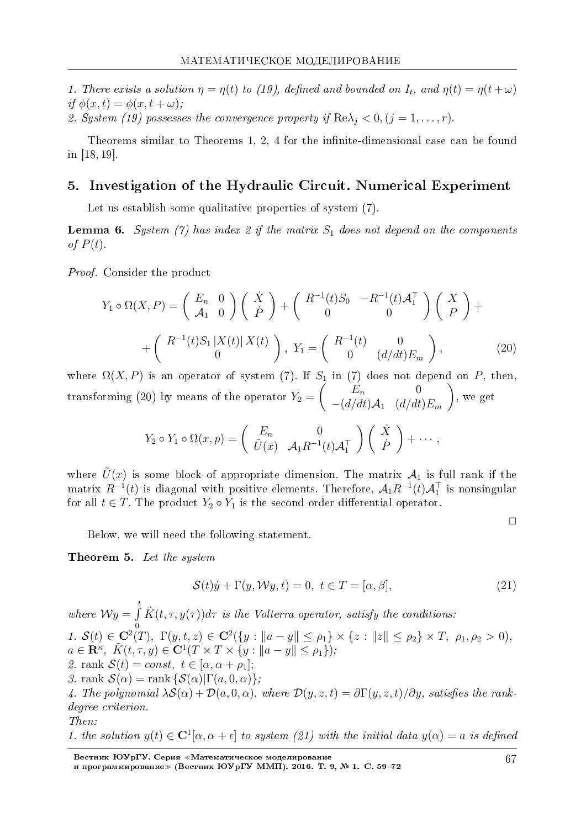1. There exists a solution  $\eta = \eta(t)$  to (19), defined and bounded on  $I_t$ , and  $\eta(t) = \eta(t + \omega)$ if  $\phi(x,t) = \phi(x,t+\omega)$ ;

2. System (19) possesses the convergence property if  $\text{Re}\lambda_i < 0$ ,  $(j = 1, ..., r)$ .

Theorems similar to Theorems 1, 2, 4 for the infinite-dimensional case can be found in  $[18, 19]$ .

#### 5. Investigation of the Hydraulic Circuit. Numerical Experiment

Let us establish some qualitative properties of system (7).

**Lemma 6.** System (7) has index 2 if the matrix  $S_1$  does not depend on the components of  $P(t)$ .

*Proof.* Consider the product

$$
Y_1 \circ \Omega(X, P) = \begin{pmatrix} E_n & 0 \\ \mathcal{A}_1 & 0 \end{pmatrix} \begin{pmatrix} \dot{X} \\ \dot{P} \end{pmatrix} + \begin{pmatrix} R^{-1}(t)S_0 & -R^{-1}(t)\mathcal{A}_1^\top \\ 0 & 0 \end{pmatrix} \begin{pmatrix} X \\ P \end{pmatrix} + \begin{pmatrix} R^{-1}(t)S_1 | X(t) | X(t) \\ 0 \end{pmatrix}, Y_1 = \begin{pmatrix} R^{-1}(t) & 0 \\ 0 & (d/dt)E_m \end{pmatrix}, \tag{20}
$$

where  $\Omega(X, P)$  is an operator of system (7). If  $S_1$  in (7) does not depend on P, then transforming (20) by means of the operator  $Y_2 = \begin{pmatrix} E_n & 0 \\ - (d/dt)A_1 & (d/dt)E_m \end{pmatrix}$ , we get

$$
Y_2 \circ Y_1 \circ \Omega(x,p) = \begin{pmatrix} E_n & 0 \\ \tilde{U}(x) & A_1 R^{-1}(t) A_1^{\top} \end{pmatrix} \begin{pmatrix} \dot{X} \\ \dot{P} \end{pmatrix} + \cdots,
$$

where  $\tilde{U}(x)$  is some block of appropriate dimension. The matrix  $\mathcal{A}_1$  is full rank if the matrix  $R^{-1}(t)$  is diagonal with positive elements. Therefore,  $\mathcal{A}_1 R^{-1}(t) \mathcal{A}_1^{\top}$  is nonsingular for all  $t \in T$ . The product  $Y_2 \circ Y_1$  is the second order differential operator

Below, we will need the following statement.

Theorem 5. Let the system

$$
\mathcal{S}(t)\dot{y} + \Gamma(y, \mathcal{W}y, t) = 0, \ t \in T = [\alpha, \beta], \tag{21}
$$

where  $\mathcal{W}y = \int_{0}^{t} \tilde{K}(t, \tau, y(\tau))d\tau$  is the Volterra operator, satisfy the conditions: 1.  $\mathcal{S}(t) \in \mathbb{C}^2(T)$ ,  $\Gamma(y, t, z) \in \mathbb{C}^2({y : \|a - y\| \le \rho_1} \times {z : \|z\| \le \rho_2} \times T, \ \rho_1, \rho_2 > 0)$ ,  $a \in \mathbf{R}^{\kappa}, \ \tilde{K}(t, \tau, y) \in \mathbf{C}^{1}(T \times T \times \{y : ||a - y|| \leq \rho_{1}\}),$ 2. rank  $\mathcal{S}(t) = const, t \in [\alpha, \alpha + \rho_1];$ 3. rank  $\mathcal{S}(\alpha) = \text{rank} \left\{ \mathcal{S}(\alpha) | \Gamma(a, 0, \alpha) \right\}$ ; 4. The polynomial  $\lambda S(\alpha) + \mathcal{D}(a,0,\alpha)$ , where  $\mathcal{D}(y,z,t) = \partial \Gamma(y,z,t)/\partial y$ , satisfies the rankdegree criterion.  $Then:$ 

1. the solution  $y(t) \in \mathbb{C}^{1}[\alpha, \alpha + \epsilon]$  to system (21) with the initial data  $y(\alpha) = a$  is defined

Вестник ЮУрГУ. Серия «Математическое моделирование<br>и программирование» (Вестник ЮУрГУ ММП). 2016. Т. 9, № 1. С. 59–72

 $\Box$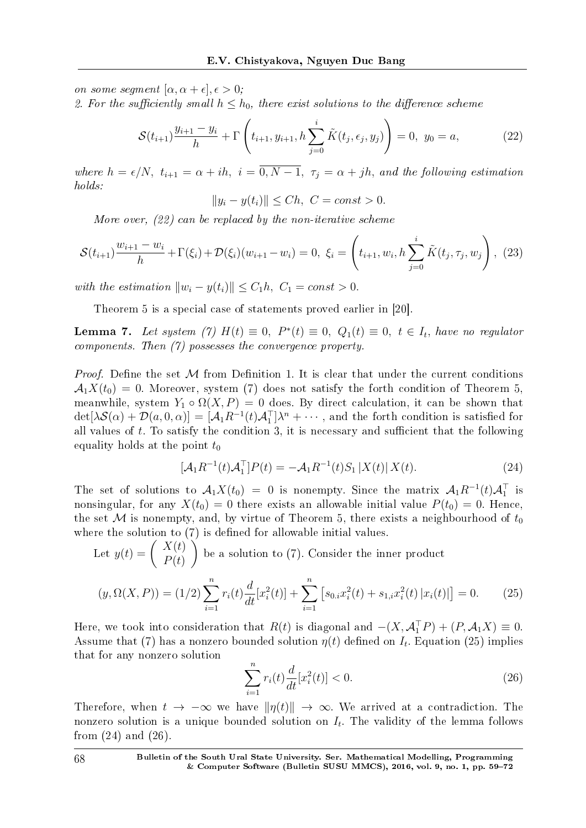on some segment  $[\alpha, \alpha + \epsilon], \epsilon > 0;$ 

2. For the sufficiently small  $h \leq h_0$ , there exist solutions to the difference scheme

$$
\mathcal{S}(t_{i+1})\frac{y_{i+1}-y_i}{h} + \Gamma\left(t_{i+1}, y_{i+1}, h\sum_{j=0}^i \tilde{K}(t_j, \epsilon_j, y_j)\right) = 0, \ y_0 = a,
$$
 (22)

where  $h = \epsilon/N$ ,  $t_{i+1} = \alpha + ih$ ,  $i = \overline{0, N-1}$ ,  $\tau_j = \alpha + jh$ , and the following estimation holds:

$$
||y_i - y(t_i)|| \le Ch, \ C = const > 0.
$$

More over, (22) can be replaced by the non-iterative scheme

$$
\mathcal{S}(t_{i+1})\frac{w_{i+1} - w_i}{h} + \Gamma(\xi_i) + \mathcal{D}(\xi_i)(w_{i+1} - w_i) = 0, \ \xi_i = \left(t_{i+1}, w_i, h\sum_{j=0}^i \tilde{K}(t_j, \tau_j, w_j)\right), \ (23)
$$

with the estimation  $||w_i - y(t_i)|| \leq C_1 h$ ,  $C_1 = const > 0$ .

*i*=1

Theorem 5 is a special case of statements proved earlier in [20].

**Lemma 7.** Let system (7)  $H(t) \equiv 0$ ,  $P^*(t) \equiv 0$ ,  $Q_1(t) \equiv 0$ ,  $t \in I_t$ , have no regulator components. Then (7) possesses the convergence property.

*Proof.* Define the set  $M$  from Definition 1. It is clear that under the current conditions  $A_1X(t_0) = 0$ . Moreover, system (7) does not satisfy the forth condition of Theorem 5, meanwhile, system  $Y_1 \circ \Omega(X, P) = 0$  does. By direct calculation, it can be shown that  $\det[\lambda S(\alpha) + \mathcal{D}(a, 0, \alpha)] = [\mathcal{A}_1 R^{-1}(t) \mathcal{A}_1^\top] \lambda^n + \cdots$ , and the forth condition is satisfied for all values of  $t$ . To satisfy the condition 3, it is necessary and sufficient that the following equality holds at the point  $t_0$ 

$$
[\mathcal{A}_1 R^{-1}(t) \mathcal{A}_1^\top] P(t) = -\mathcal{A}_1 R^{-1}(t) S_1 |X(t)| X(t).
$$
 (24)

The set of solutions to  $\mathcal{A}_1 X(t_0) = 0$  is nonempty. Since the matrix  $\mathcal{A}_1 R^{-1}(t) \mathcal{A}_1^{\top}$  is nonsingular, for any  $X(t_0) = 0$  there exists an allowable initial value  $P(t_0) = 0$ . Hence, the set  $M$  is nonempty, and, by virtue of Theorem 5, there exists a neighbourhood of  $t_0$ where the solution to  $(7)$  is defined for allowable initial values.

Let 
$$
y(t) = \begin{pmatrix} X(t) \\ P(t) \end{pmatrix}
$$
 be a solution to (7). Consider the inner product\n
$$
(y, \Omega(X, P)) = (1/2) \sum_{i=1}^{n} r_i(t) \frac{d}{dt} [x_i^2(t)] + \sum_{i=1}^{n} \left[ s_{0,i} x_i^2(t) + s_{1,i} x_i^2(t) |x_i(t)| \right] = 0.
$$
\n(25)

Here, we took into consideration that  $R(t)$  is diagonal and  $-(X, \mathcal{A}_1^\top P) + (P, \mathcal{A}_1 X) \equiv 0$ . Assume that (7) has a nonzero bounded solution  $\eta(t)$  defined on  $I_t$ . Equation (25) implies that for any nonzero solution

*i*=1

$$
\sum_{i=1}^{n} r_i(t) \frac{d}{dt} [x_i^2(t)] < 0. \tag{26}
$$

Therefore, when  $t \to -\infty$  we have  $\|\eta(t)\| \to \infty$ . We arrived at a contradiction. The nonzero solution is a unique bounded solution on  $I_t$ . The validity of the lemma follows from  $(24)$  and  $(26)$ .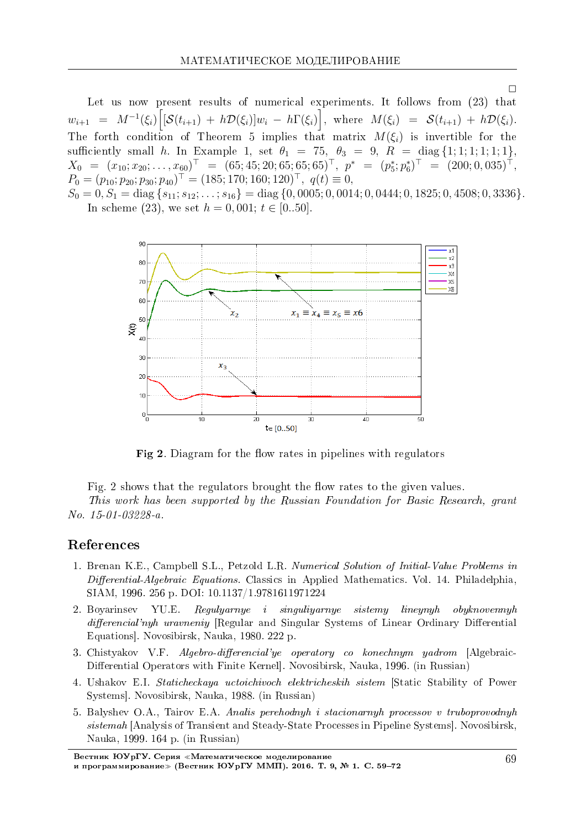Let us now present results of numerical experiments. It follows from (23) that  $w_{i+1} = M^{-1}(\xi_i) \Big[ [\mathcal{S}(t_{i+1}) + h\mathcal{D}(\xi_i)]w_i - h\Gamma(\xi_i) \Big], \text{ where } M(\xi_i) = \mathcal{S}(t_{i+1}) + h\mathcal{D}(\xi_i).$ The forth condition of Theorem 5 implies that matrix  $M(\xi_i)$  is invertible for the sufficiently small h. In Example 1, set  $\theta_1 = 75$ ,  $\theta_3 = 9$ ,  $R = diag\{1; 1; 1; 1; 1; 1\}$ ,  $X_0 = (x_{10}; x_{20}; \ldots, x_{60})^\top = (65; 45; 20; 65; 65; 65)^\top, \quad p^* = (p_5^*; p_6^*)^\top = (200; 0, 035)^\top,$  $P_0 = (p_{10}; p_{20}; p_{30}; p_{40})^{\top} = (185; 170; 160; 120)^{\top}, q(t) \equiv 0,$ 

 $S_0 = 0, S_1 = \text{diag}\{s_{11}, s_{12}, \ldots, s_{16}\} = \text{diag}\{0,0005, 0,0014, 0,0444, 0,1825, 0,4508, 0,3336\}.$ In scheme (23), we set  $h = 0,001$ ;  $t \in [0..50]$ .



Fig 2. Diagram for the flow rates in pipelines with regulators

Fig. 2 shows that the regulators brought the flow rates to the given values.

This work has been supported by the Russian Foundation for Basic Research, grant No. 15-01-03228-a.

# References

- 1. Brenan K.E., Campbell S.L., Petzold L.R. Numerical Solution of Initial-Value Problems in Differential-Algebraic Equations. Classics in Applied Mathematics. Vol. 14. Philadelphia, SIAM, 1996. 256 p. DOI: 10.1137/1.9781611971224
- 2. Bovarinsey YU.E. Reguluarnue i singuliuarnue sistemu lineunuh obuknovennuh differencial'nyh uravneniy [Regular and Singular Systems of Linear Ordinary Differential Equations. Novosibirsk, Nauka, 1980. 222 p.
- 3. Chistyakov V.F. Algebro-differencial'ye operatory co konechnym yadrom [Algebraic-Differential Operators with Finite Kernel, Novosibirsk, Nauka, 1996. (in Russian)
- 4. Ushakov E.I. Staticheckaya uctoichivoch elektricheskih sistem [Static Stability of Power Systems]. Novosibirsk, Nauka, 1988. (in Russian)
- 5. Balyshev O.A., Tairov E.A. Analis perchodnyh i stacionarnyh processov v truboprovodnyh sistemah [Analysis of Transient and Steady-State Processes in Pipeline Systems]. Novosibirsk, Nauka, 1999. 164 p. (in Russian)

 $\Box$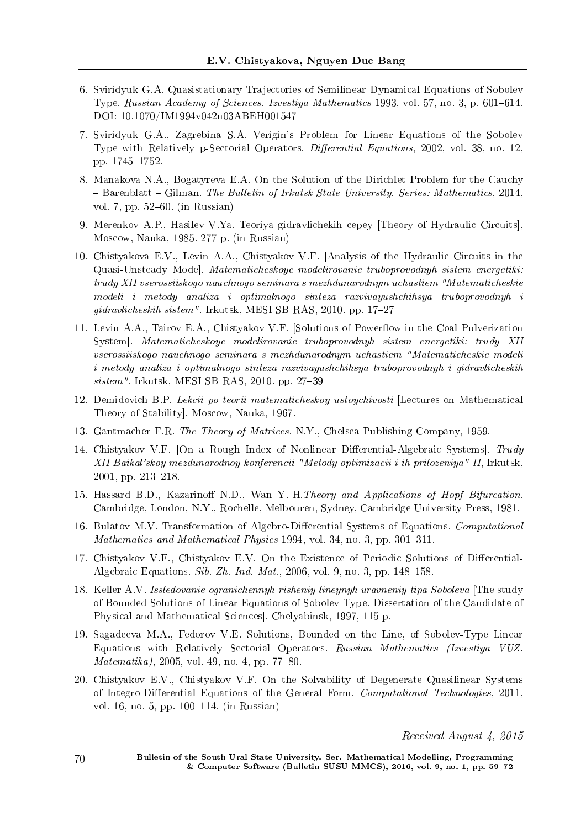- 6. Sviridyuk G.A. Quasistationary Trajectories of Semilinear Dynamical Equations of Sobolev Type. Russian Academy of Sciences. Izvestiya Mathematics 1993, vol. 57, no. 3, p. 601–614. DOI: 10.1070/IM1994v042n03ABEH001547
- 7. Sviridyuk G.A., Zagrebina S.A. Verigin's Problem for Linear Equations of the Sobolev Type with Relatively p-Sectorial Operators. Differential Equations, 2002, vol. 38, no. 12, pp. 1745-1752.
- 8. Manakova N.A., Bogatyreva E.A. On the Solution of the Dirichlet Problem for the Cauchy  $B =$  Barenblatt  $-$  Gilman. The Bulletin of Irkutsk State University. Series: Mathematics, 2014, vol. 7, pp.  $52-60$ . (in Russian)
- 9. Merenkov A.P., Hasilev V.Ya. Teoriya gidravlichekih cepey [Theory of Hydraulic Circuits], Moscow, Nauka, 1985. 277 p. (in Russian)
- 10. Chistyakova E.V., Levin A.A., Chistyakov V.F. [Analysis of the Hydraulic Circuits in the Quasi-Unsteady Mode]. Matematicheskoye modelirovanie truboprovodnyh sistem energetiki: trudy XII vserossiiskogo nauchnogo seminara s mezhdunarodnym uchastiem "Matematicheskie modeli i metody analiza i optimalnogo sinteza razvivayushchihsya truboprovodnyh i  $qidravlicheskih sistem''$ . Irkutsk, MESI SB RAS, 2010. pp. 17–27
- 11. Levin A.A., Tairov E.A., Chistyakov V.F. [Solutions of Powerflow in the Coal Pulverization System]. Matematicheskoye modelirovanie truboprovodnyh sistem energetiki: trudy XII vserossiiskogo nauchnogo seminara s mezhdunarodnym uchastiem "Matematicheskie modeli i metody analiza i optimalnogo sinteza razvivayushchihsya truboprovodnyh i gidravlicheskih  $sistem$ ". Irkutsk, MESI SB RAS, 2010. pp. 27-39
- 12. Demidovich B.P. Lekcii po teorii matematicheskoy ustoychivosti [Lectures on Mathematical Theory of Stability. Moscow, Nauka, 1967.
- 13. Gantmacher F.R. The Theory of Matrices. N.Y., Chelsea Publishing Company, 1959.
- 14. Chistyakov V.F. [On a Rough Index of Nonlinear Differential-Algebraic Systems].  $Trudu$ XII Baikal'skoy mezdunarodnoy konferencii "Metody optimizacii i ih prilozeniya" II, Irkutsk,  $2001$ , pp.  $213-218$ .
- 15. Hassard B.D., Kazarinoff N.D., Wan Y.-H.*Theory and Applications of Hopf Bifurcation*. Cambridge, London, N.Y., Rochelle, Melbouren, Sydney, Cambridge University Press, 1981.
- 16. Bulatov M.V. Transformation of Algebro-Differential Systems of Equations. Computational Mathematics and Mathematical Physics 1994, vol. 34, no. 3, pp. 301–311.
- 17. Chistyakov V.F., Chistyakov E.V. On the Existence of Periodic Solutions of Differential-Algebraic Equations. Sib. Zh. Ind. Mat., 2006, vol. 9, no. 3, pp.  $148-158$ .
- 18. Keller A.V. Issledovanie ogranichennyh risheniy lineynyh uravneniy tipa Soboleva [The study of Bounded Solutions of Linear Equations of Sobolev Type. Dissertation of the Candidate of Physical and Mathematical Sciences]. Chelyabinsk, 1997, 115 p.
- 19. Sagadeeva M.A., Fedorov V.E. Solutions, Bounded on the Line, of Sobolev-Type Linear Equations with Relatively Sectorial Operators. Russian Mathematics (Izvestiya VUZ.  $Matematika$ , 2005, vol. 49, no. 4, pp. 77-80.
- 20. Chistyakov E.V., Chistyakov V.F. On the Solvability of Degenerate Quasilinear Systems of Integro-Differential Equations of the General Form. Computational Technologies, 2011, vol. 16, no. 5, pp. 100–114. (in Russian)

Received August 4, 2015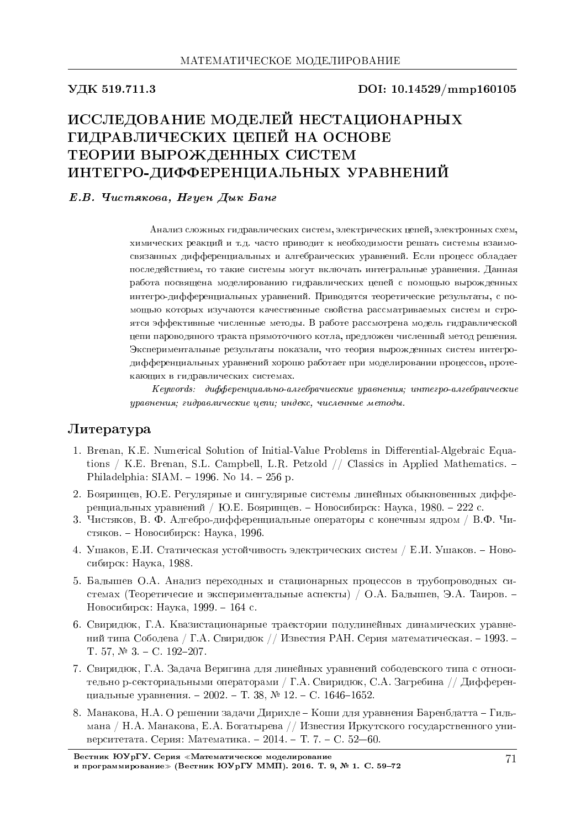#### УДК 519.711.3

DOI: 10.14529/mmp160105

# ИССЛЕДОВАНИЕ МОДЕЛЕЙ НЕСТАЦИОНАРНЫХ ГИДРАВЛИЧЕСКИХ ЦЕПЕЙ НА ОСНОВЕ ТЕОРИИ ВЫРОЖДЕННЫХ СИСТЕМ ИНТЕГРО-ДИФФЕРЕНЦИАЛЬНЫХ УРАВНЕНИЙ

#### Е.В. Чистякова, Нгуен Дык Банг

Анализ сложных гидравлических систем, электрических цепей, электронных схем, химических реакций и т.д. часто приводит к необходимости решать системы взаимосвязанных дифференциальных и алгебраических уравнений. Если процесс обладает последействием, то такие системы могут включать интегральные уравнения. Данная работа посвящена моделированию гидравлических цепей с помощью вырожденных интегро-дифференциальных уравнений. Приводятся теоретические результаты, с помощью которых изучаются качественные свойства рассматриваемых систем и строятся эффективные численные методы. В работе рассмотрена модель гидравлической цепи пароводяного тракта прямоточного котла, предложен численный метод решения. Экспериментальные результаты показали, что теория вырожденных систем интегродифференциальных уравнений хорошо работает при моделировании процессов, протекающих в гидравлических системах.

Keywords: дифференциально-алгебрачиеские уравнения; интегро-алгебраические уравнения; гидравлические цепи; индекс, численные методы.

# Литература

- 1. Brenan, K.E. Numerical Solution of Initial-Value Problems in Differential-Algebraic Equations / K.E. Brenan, S.L. Campbell, L.R. Petzold // Classics in Applied Mathematics.  $-$ Philadelphia:  $SIAM. - 1996.$  No  $14. - 256$  p.
- 2. Бояринцев, Ю.Е. Регулярные и сингулярные системы линейных обыкновенных дифференциальных уравнений / Ю.Е. Бояринцев. – Новосибирск: Наука, 1980. – 222 с.
- 3. Чистяков, В. Ф. Алгебро-дифференциальные операторы с конечным ядром / В.Ф. Чистяков. - Новосибирск: Наука, 1996.
- 4. Ушаков, Е.И. Статическая устойчивость электрических систем / Е.И. Ушаков. Новосибирск: Наука, 1988.
- 5. Балышев О.А. Анализ переходных и стационарных процессов в трубопроводных системах (Теоретичесие и экспериментальные аспекты) / О.А. Балышев, Э.А. Таиров. -Новосибирск: Наука, 1999. - 164 с.
- 6. Свиридюк, Г.А. Квазистационарные траектории полулинейных динамических уравнений типа Соболева / Г.А. Свиридюк // Известия РАН. Серия математическая. - 1993. -T. 57,  $\mathbb{N}^2$  3. - C. 192-207.
- 7. Свиридюк, Г.А. Задача Веригина для линейных уравнений соболевского типа с относительно р-секториальными операторами / Г.А. Свиридюк, С.А. Загребина // Дифференциальные уравнения. - 2002. - Т. 38, № 12. - С. 1646-1652.
- 8. Манакова, Н.А. О решении задачи Дирихле Коши для уравнения Баренблатта Гильмана / Н.А. Манакова, Е.А. Богатырева // Известия Иркутского государственного университетата. Серия: Математика. - 2014. - Т. 7. - С. 52-60.